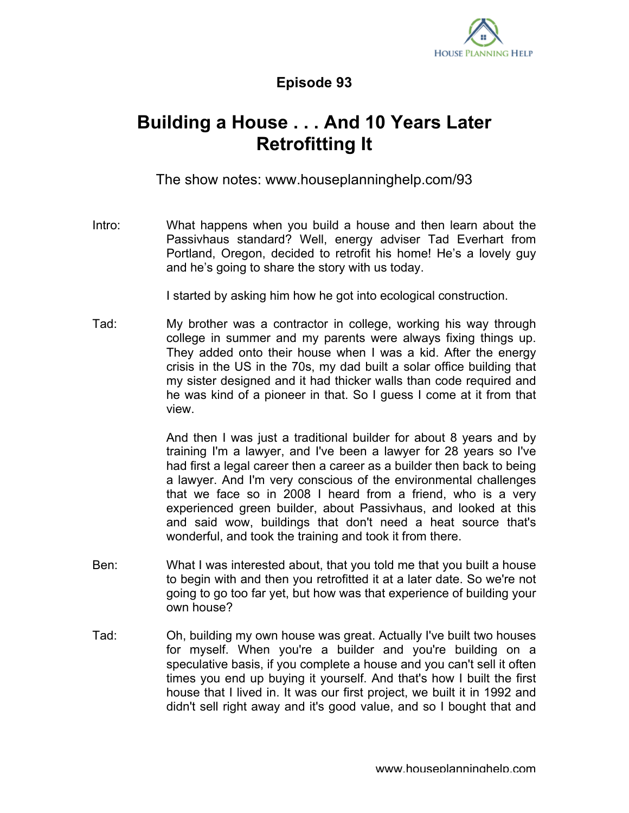

## **Episode 93**

## **Building a House . . . And 10 Years Later Retrofitting It**

The show notes: www.houseplanninghelp.com/93

Intro: What happens when you build a house and then learn about the Passivhaus standard? Well, energy adviser Tad Everhart from Portland, Oregon, decided to retrofit his home! He's a lovely guy and he's going to share the story with us today.

I started by asking him how he got into ecological construction.

Tad: My brother was a contractor in college, working his way through college in summer and my parents were always fixing things up. They added onto their house when I was a kid. After the energy crisis in the US in the 70s, my dad built a solar office building that my sister designed and it had thicker walls than code required and he was kind of a pioneer in that. So I guess I come at it from that view.

> And then I was just a traditional builder for about 8 years and by training I'm a lawyer, and I've been a lawyer for 28 years so I've had first a legal career then a career as a builder then back to being a lawyer. And I'm very conscious of the environmental challenges that we face so in 2008 I heard from a friend, who is a very experienced green builder, about Passivhaus, and looked at this and said wow, buildings that don't need a heat source that's wonderful, and took the training and took it from there.

- Ben: What I was interested about, that you told me that you built a house to begin with and then you retrofitted it at a later date. So we're not going to go too far yet, but how was that experience of building your own house?
- Tad: Oh, building my own house was great. Actually I've built two houses for myself. When you're a builder and you're building on a speculative basis, if you complete a house and you can't sell it often times you end up buying it yourself. And that's how I built the first house that I lived in. It was our first project, we built it in 1992 and didn't sell right away and it's good value, and so I bought that and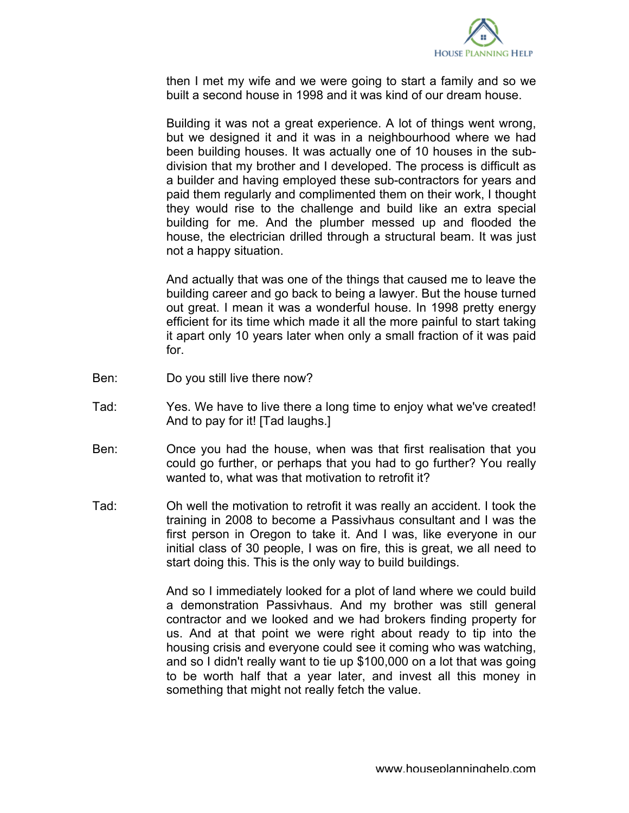

then I met my wife and we were going to start a family and so we built a second house in 1998 and it was kind of our dream house.

Building it was not a great experience. A lot of things went wrong, but we designed it and it was in a neighbourhood where we had been building houses. It was actually one of 10 houses in the subdivision that my brother and I developed. The process is difficult as a builder and having employed these sub-contractors for years and paid them regularly and complimented them on their work, I thought they would rise to the challenge and build like an extra special building for me. And the plumber messed up and flooded the house, the electrician drilled through a structural beam. It was just not a happy situation.

And actually that was one of the things that caused me to leave the building career and go back to being a lawyer. But the house turned out great. I mean it was a wonderful house. In 1998 pretty energy efficient for its time which made it all the more painful to start taking it apart only 10 years later when only a small fraction of it was paid for.

- Ben: Do you still live there now?
- Tad: Yes. We have to live there a long time to enjoy what we've created! And to pay for it! [Tad laughs.]
- Ben: Once you had the house, when was that first realisation that you could go further, or perhaps that you had to go further? You really wanted to, what was that motivation to retrofit it?
- Tad: Oh well the motivation to retrofit it was really an accident. I took the training in 2008 to become a Passivhaus consultant and I was the first person in Oregon to take it. And I was, like everyone in our initial class of 30 people, I was on fire, this is great, we all need to start doing this. This is the only way to build buildings.

And so I immediately looked for a plot of land where we could build a demonstration Passivhaus. And my brother was still general contractor and we looked and we had brokers finding property for us. And at that point we were right about ready to tip into the housing crisis and everyone could see it coming who was watching, and so I didn't really want to tie up \$100,000 on a lot that was going to be worth half that a year later, and invest all this money in something that might not really fetch the value.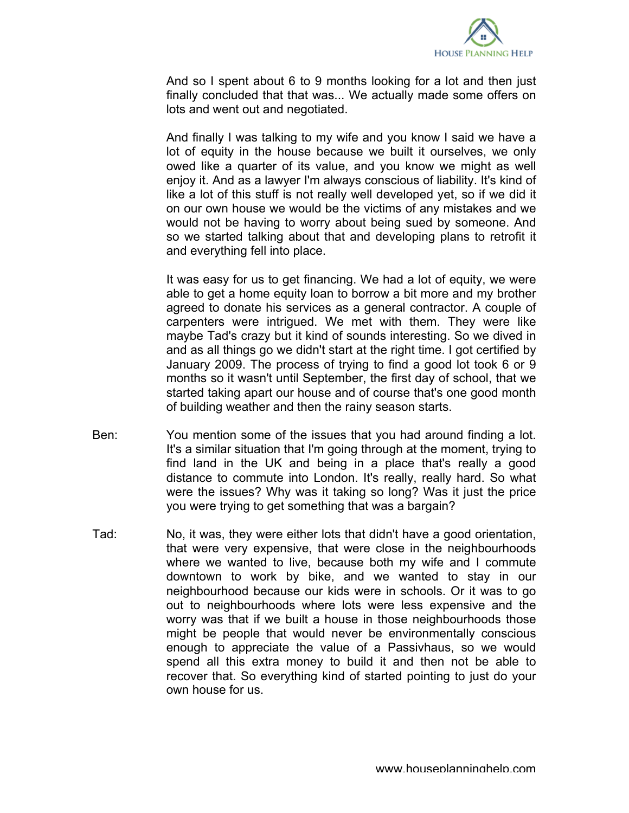

And so I spent about 6 to 9 months looking for a lot and then just finally concluded that that was... We actually made some offers on lots and went out and negotiated.

And finally I was talking to my wife and you know I said we have a lot of equity in the house because we built it ourselves, we only owed like a quarter of its value, and you know we might as well enjoy it. And as a lawyer I'm always conscious of liability. It's kind of like a lot of this stuff is not really well developed yet, so if we did it on our own house we would be the victims of any mistakes and we would not be having to worry about being sued by someone. And so we started talking about that and developing plans to retrofit it and everything fell into place.

It was easy for us to get financing. We had a lot of equity, we were able to get a home equity loan to borrow a bit more and my brother agreed to donate his services as a general contractor. A couple of carpenters were intrigued. We met with them. They were like maybe Tad's crazy but it kind of sounds interesting. So we dived in and as all things go we didn't start at the right time. I got certified by January 2009. The process of trying to find a good lot took 6 or 9 months so it wasn't until September, the first day of school, that we started taking apart our house and of course that's one good month of building weather and then the rainy season starts.

- Ben: You mention some of the issues that you had around finding a lot. It's a similar situation that I'm going through at the moment, trying to find land in the UK and being in a place that's really a good distance to commute into London. It's really, really hard. So what were the issues? Why was it taking so long? Was it just the price you were trying to get something that was a bargain?
- Tad: No, it was, they were either lots that didn't have a good orientation, that were very expensive, that were close in the neighbourhoods where we wanted to live, because both my wife and I commute downtown to work by bike, and we wanted to stay in our neighbourhood because our kids were in schools. Or it was to go out to neighbourhoods where lots were less expensive and the worry was that if we built a house in those neighbourhoods those might be people that would never be environmentally conscious enough to appreciate the value of a Passivhaus, so we would spend all this extra money to build it and then not be able to recover that. So everything kind of started pointing to just do your own house for us.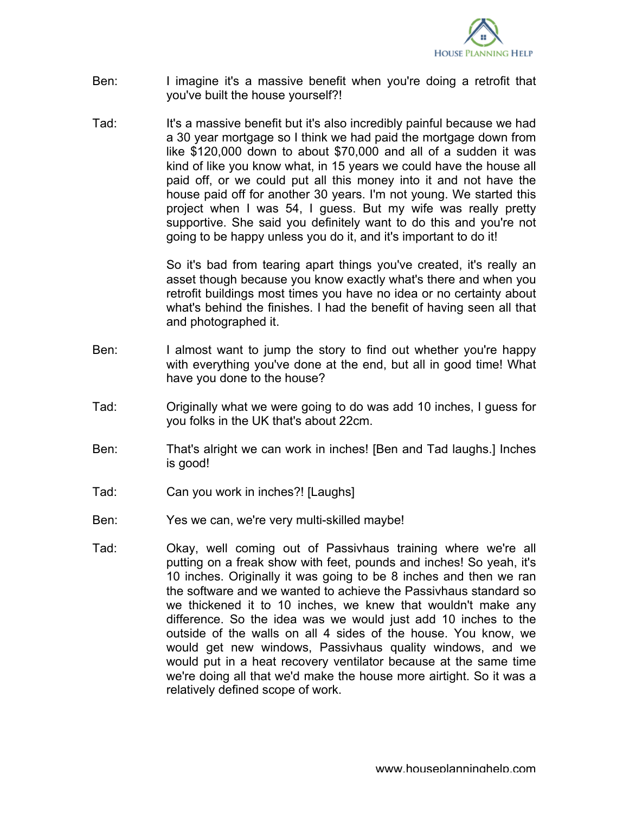

- Ben: I imagine it's a massive benefit when you're doing a retrofit that you've built the house yourself?!
- Tad: It's a massive benefit but it's also incredibly painful because we had a 30 year mortgage so I think we had paid the mortgage down from like \$120,000 down to about \$70,000 and all of a sudden it was kind of like you know what, in 15 years we could have the house all paid off, or we could put all this money into it and not have the house paid off for another 30 years. I'm not young. We started this project when I was 54, I guess. But my wife was really pretty supportive. She said you definitely want to do this and you're not going to be happy unless you do it, and it's important to do it!

So it's bad from tearing apart things you've created, it's really an asset though because you know exactly what's there and when you retrofit buildings most times you have no idea or no certainty about what's behind the finishes. I had the benefit of having seen all that and photographed it.

- Ben: I almost want to jump the story to find out whether you're happy with everything you've done at the end, but all in good time! What have you done to the house?
- Tad: Originally what we were going to do was add 10 inches, I guess for you folks in the UK that's about 22cm.
- Ben: That's alright we can work in inches! [Ben and Tad laughs.] Inches is good!
- Tad: Can you work in inches?! [Laughs]
- Ben: Yes we can, we're very multi-skilled maybe!
- Tad: Okay, well coming out of Passivhaus training where we're all putting on a freak show with feet, pounds and inches! So yeah, it's 10 inches. Originally it was going to be 8 inches and then we ran the software and we wanted to achieve the Passivhaus standard so we thickened it to 10 inches, we knew that wouldn't make any difference. So the idea was we would just add 10 inches to the outside of the walls on all 4 sides of the house. You know, we would get new windows, Passivhaus quality windows, and we would put in a heat recovery ventilator because at the same time we're doing all that we'd make the house more airtight. So it was a relatively defined scope of work.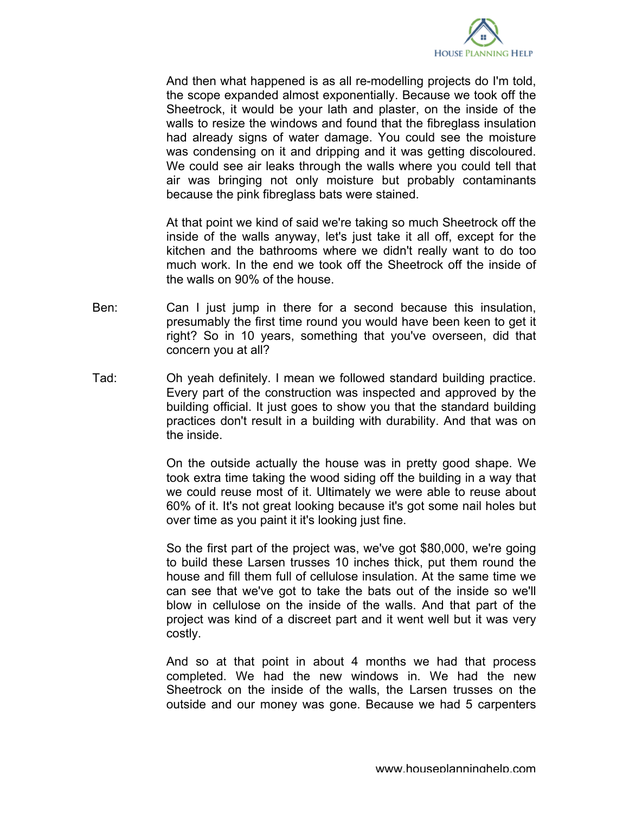

And then what happened is as all re-modelling projects do I'm told, the scope expanded almost exponentially. Because we took off the Sheetrock, it would be your lath and plaster, on the inside of the walls to resize the windows and found that the fibreglass insulation had already signs of water damage. You could see the moisture was condensing on it and dripping and it was getting discoloured. We could see air leaks through the walls where you could tell that air was bringing not only moisture but probably contaminants because the pink fibreglass bats were stained.

At that point we kind of said we're taking so much Sheetrock off the inside of the walls anyway, let's just take it all off, except for the kitchen and the bathrooms where we didn't really want to do too much work. In the end we took off the Sheetrock off the inside of the walls on 90% of the house.

- Ben: Can I just jump in there for a second because this insulation, presumably the first time round you would have been keen to get it right? So in 10 years, something that you've overseen, did that concern you at all?
- Tad: Oh yeah definitely. I mean we followed standard building practice. Every part of the construction was inspected and approved by the building official. It just goes to show you that the standard building practices don't result in a building with durability. And that was on the inside.

On the outside actually the house was in pretty good shape. We took extra time taking the wood siding off the building in a way that we could reuse most of it. Ultimately we were able to reuse about 60% of it. It's not great looking because it's got some nail holes but over time as you paint it it's looking just fine.

So the first part of the project was, we've got \$80,000, we're going to build these Larsen trusses 10 inches thick, put them round the house and fill them full of cellulose insulation. At the same time we can see that we've got to take the bats out of the inside so we'll blow in cellulose on the inside of the walls. And that part of the project was kind of a discreet part and it went well but it was very costly.

And so at that point in about 4 months we had that process completed. We had the new windows in. We had the new Sheetrock on the inside of the walls, the Larsen trusses on the outside and our money was gone. Because we had 5 carpenters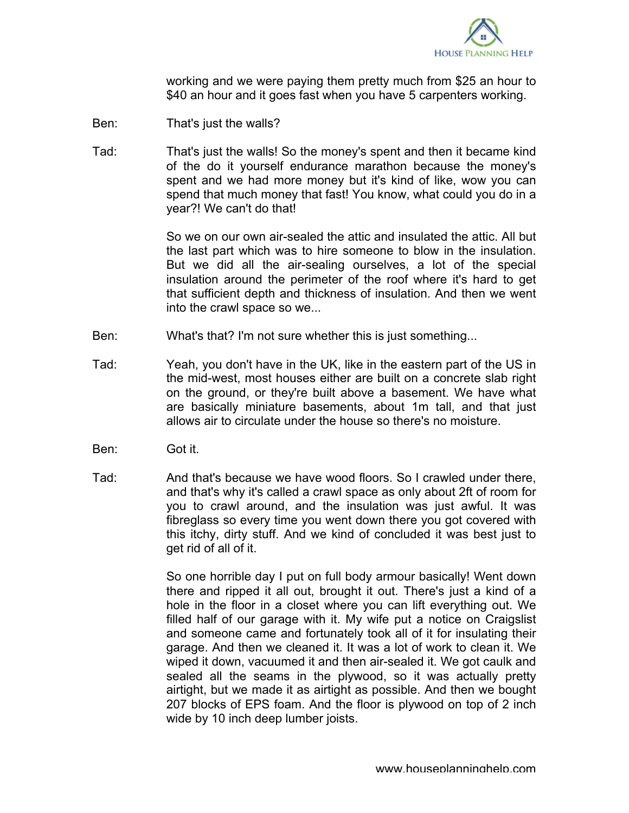

working and we were paying them pretty much from \$25 an hour to \$40 an hour and it goes fast when you have 5 carpenters working.

- Ben: That's just the walls?
- Tad: That's just the walls! So the money's spent and then it became kind of the do it yourself endurance marathon because the money's spent and we had more money but it's kind of like, wow you can spend that much money that fast! You know, what could you do in a year?! We can't do that!

So we on our own air-sealed the attic and insulated the attic. All but the last part which was to hire someone to blow in the insulation. But we did all the air-sealing ourselves, a lot of the special insulation around the perimeter of the roof where it's hard to get that sufficient depth and thickness of insulation. And then we went into the crawl space so we...

- Ben: What's that? I'm not sure whether this is just something...
- Tad: Yeah, you don't have in the UK, like in the eastern part of the US in the mid-west, most houses either are built on a concrete slab right on the ground, or they're built above a basement. We have what are basically miniature basements, about 1m tall, and that just allows air to circulate under the house so there's no moisture.
- Ben: Got it.
- Tad: And that's because we have wood floors. So I crawled under there, and that's why it's called a crawl space as only about 2ft of room for you to crawl around, and the insulation was just awful. It was fibreglass so every time you went down there you got covered with this itchy, dirty stuff. And we kind of concluded it was best just to get rid of all of it.

So one horrible day I put on full body armour basically! Went down there and ripped it all out, brought it out. There's just a kind of a hole in the floor in a closet where you can lift everything out. We filled half of our garage with it. My wife put a notice on Craigslist and someone came and fortunately took all of it for insulating their garage. And then we cleaned it. It was a lot of work to clean it. We wiped it down, vacuumed it and then air-sealed it. We got caulk and sealed all the seams in the plywood, so it was actually pretty airtight, but we made it as airtight as possible. And then we bought 207 blocks of EPS foam. And the floor is plywood on top of 2 inch wide by 10 inch deep lumber joists.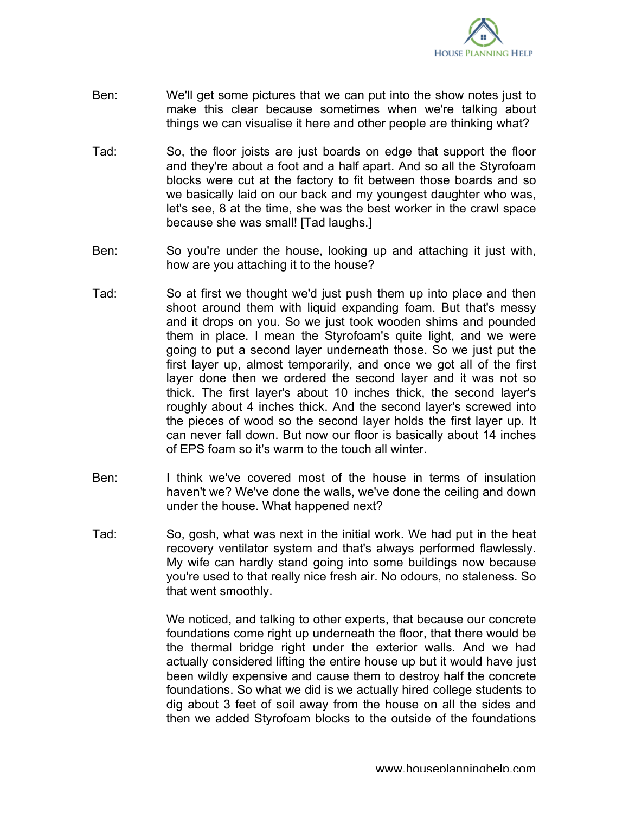

- Ben: We'll get some pictures that we can put into the show notes just to make this clear because sometimes when we're talking about things we can visualise it here and other people are thinking what?
- Tad: So, the floor joists are just boards on edge that support the floor and they're about a foot and a half apart. And so all the Styrofoam blocks were cut at the factory to fit between those boards and so we basically laid on our back and my youngest daughter who was, let's see, 8 at the time, she was the best worker in the crawl space because she was small! [Tad laughs.]
- Ben: So you're under the house, looking up and attaching it just with, how are you attaching it to the house?
- Tad: So at first we thought we'd just push them up into place and then shoot around them with liquid expanding foam. But that's messy and it drops on you. So we just took wooden shims and pounded them in place. I mean the Styrofoam's quite light, and we were going to put a second layer underneath those. So we just put the first layer up, almost temporarily, and once we got all of the first layer done then we ordered the second layer and it was not so thick. The first layer's about 10 inches thick, the second layer's roughly about 4 inches thick. And the second layer's screwed into the pieces of wood so the second layer holds the first layer up. It can never fall down. But now our floor is basically about 14 inches of EPS foam so it's warm to the touch all winter.
- Ben: I think we've covered most of the house in terms of insulation haven't we? We've done the walls, we've done the ceiling and down under the house. What happened next?
- Tad: So, gosh, what was next in the initial work. We had put in the heat recovery ventilator system and that's always performed flawlessly. My wife can hardly stand going into some buildings now because you're used to that really nice fresh air. No odours, no staleness. So that went smoothly.

We noticed, and talking to other experts, that because our concrete foundations come right up underneath the floor, that there would be the thermal bridge right under the exterior walls. And we had actually considered lifting the entire house up but it would have just been wildly expensive and cause them to destroy half the concrete foundations. So what we did is we actually hired college students to dig about 3 feet of soil away from the house on all the sides and then we added Styrofoam blocks to the outside of the foundations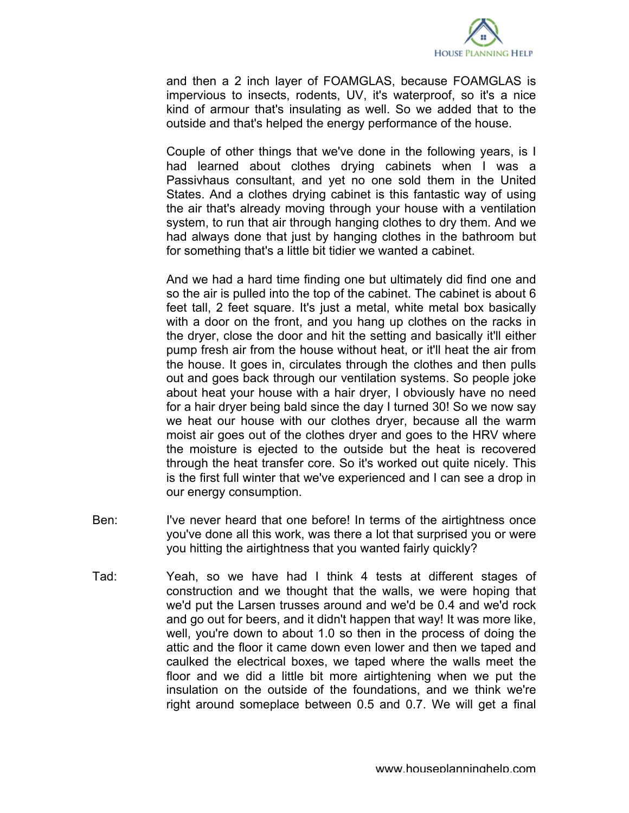

and then a 2 inch layer of FOAMGLAS, because FOAMGLAS is impervious to insects, rodents, UV, it's waterproof, so it's a nice kind of armour that's insulating as well. So we added that to the outside and that's helped the energy performance of the house.

Couple of other things that we've done in the following years, is I had learned about clothes drying cabinets when I was a Passivhaus consultant, and yet no one sold them in the United States. And a clothes drying cabinet is this fantastic way of using the air that's already moving through your house with a ventilation system, to run that air through hanging clothes to dry them. And we had always done that just by hanging clothes in the bathroom but for something that's a little bit tidier we wanted a cabinet.

And we had a hard time finding one but ultimately did find one and so the air is pulled into the top of the cabinet. The cabinet is about 6 feet tall, 2 feet square. It's just a metal, white metal box basically with a door on the front, and you hang up clothes on the racks in the dryer, close the door and hit the setting and basically it'll either pump fresh air from the house without heat, or it'll heat the air from the house. It goes in, circulates through the clothes and then pulls out and goes back through our ventilation systems. So people joke about heat your house with a hair dryer, I obviously have no need for a hair dryer being bald since the day I turned 30! So we now say we heat our house with our clothes dryer, because all the warm moist air goes out of the clothes dryer and goes to the HRV where the moisture is ejected to the outside but the heat is recovered through the heat transfer core. So it's worked out quite nicely. This is the first full winter that we've experienced and I can see a drop in our energy consumption.

- Ben: I've never heard that one before! In terms of the airtightness once you've done all this work, was there a lot that surprised you or were you hitting the airtightness that you wanted fairly quickly?
- Tad: Yeah, so we have had I think 4 tests at different stages of construction and we thought that the walls, we were hoping that we'd put the Larsen trusses around and we'd be 0.4 and we'd rock and go out for beers, and it didn't happen that way! It was more like, well, you're down to about 1.0 so then in the process of doing the attic and the floor it came down even lower and then we taped and caulked the electrical boxes, we taped where the walls meet the floor and we did a little bit more airtightening when we put the insulation on the outside of the foundations, and we think we're right around someplace between 0.5 and 0.7. We will get a final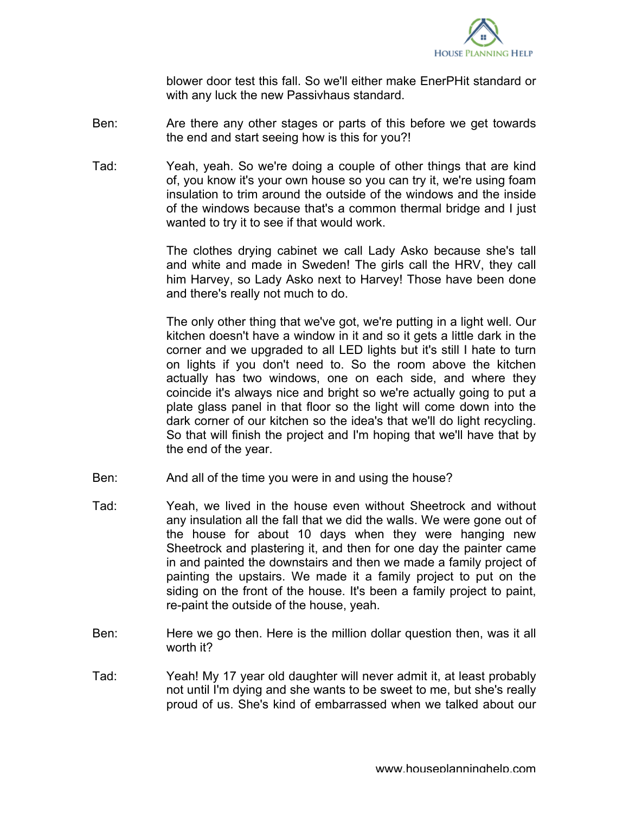

blower door test this fall. So we'll either make EnerPHit standard or with any luck the new Passivhaus standard.

- Ben: Are there any other stages or parts of this before we get towards the end and start seeing how is this for you?!
- Tad: Yeah, yeah. So we're doing a couple of other things that are kind of, you know it's your own house so you can try it, we're using foam insulation to trim around the outside of the windows and the inside of the windows because that's a common thermal bridge and I just wanted to try it to see if that would work.

The clothes drying cabinet we call Lady Asko because she's tall and white and made in Sweden! The girls call the HRV, they call him Harvey, so Lady Asko next to Harvey! Those have been done and there's really not much to do.

The only other thing that we've got, we're putting in a light well. Our kitchen doesn't have a window in it and so it gets a little dark in the corner and we upgraded to all LED lights but it's still I hate to turn on lights if you don't need to. So the room above the kitchen actually has two windows, one on each side, and where they coincide it's always nice and bright so we're actually going to put a plate glass panel in that floor so the light will come down into the dark corner of our kitchen so the idea's that we'll do light recycling. So that will finish the project and I'm hoping that we'll have that by the end of the year.

- Ben: And all of the time you were in and using the house?
- Tad: Yeah, we lived in the house even without Sheetrock and without any insulation all the fall that we did the walls. We were gone out of the house for about 10 days when they were hanging new Sheetrock and plastering it, and then for one day the painter came in and painted the downstairs and then we made a family project of painting the upstairs. We made it a family project to put on the siding on the front of the house. It's been a family project to paint, re-paint the outside of the house, yeah.
- Ben: Here we go then. Here is the million dollar question then, was it all worth it?
- Tad: Yeah! My 17 year old daughter will never admit it, at least probably not until I'm dying and she wants to be sweet to me, but she's really proud of us. She's kind of embarrassed when we talked about our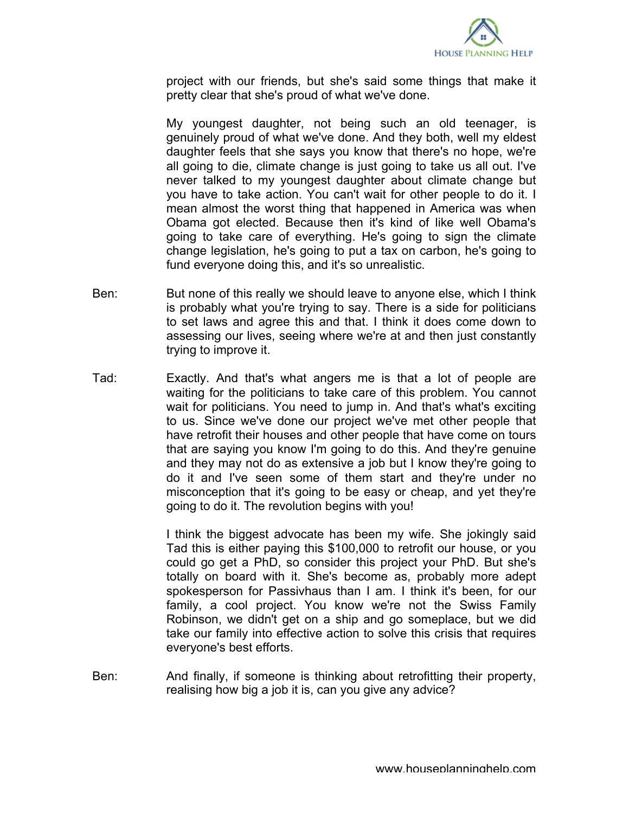

project with our friends, but she's said some things that make it pretty clear that she's proud of what we've done.

My youngest daughter, not being such an old teenager, is genuinely proud of what we've done. And they both, well my eldest daughter feels that she says you know that there's no hope, we're all going to die, climate change is just going to take us all out. I've never talked to my youngest daughter about climate change but you have to take action. You can't wait for other people to do it. I mean almost the worst thing that happened in America was when Obama got elected. Because then it's kind of like well Obama's going to take care of everything. He's going to sign the climate change legislation, he's going to put a tax on carbon, he's going to fund everyone doing this, and it's so unrealistic.

- Ben: But none of this really we should leave to anyone else, which I think is probably what you're trying to say. There is a side for politicians to set laws and agree this and that. I think it does come down to assessing our lives, seeing where we're at and then just constantly trying to improve it.
- Tad: Exactly. And that's what angers me is that a lot of people are waiting for the politicians to take care of this problem. You cannot wait for politicians. You need to jump in. And that's what's exciting to us. Since we've done our project we've met other people that have retrofit their houses and other people that have come on tours that are saying you know I'm going to do this. And they're genuine and they may not do as extensive a job but I know they're going to do it and I've seen some of them start and they're under no misconception that it's going to be easy or cheap, and yet they're going to do it. The revolution begins with you!

I think the biggest advocate has been my wife. She jokingly said Tad this is either paying this \$100,000 to retrofit our house, or you could go get a PhD, so consider this project your PhD. But she's totally on board with it. She's become as, probably more adept spokesperson for Passivhaus than I am. I think it's been, for our family, a cool project. You know we're not the Swiss Family Robinson, we didn't get on a ship and go someplace, but we did take our family into effective action to solve this crisis that requires everyone's best efforts.

Ben: And finally, if someone is thinking about retrofitting their property, realising how big a job it is, can you give any advice?